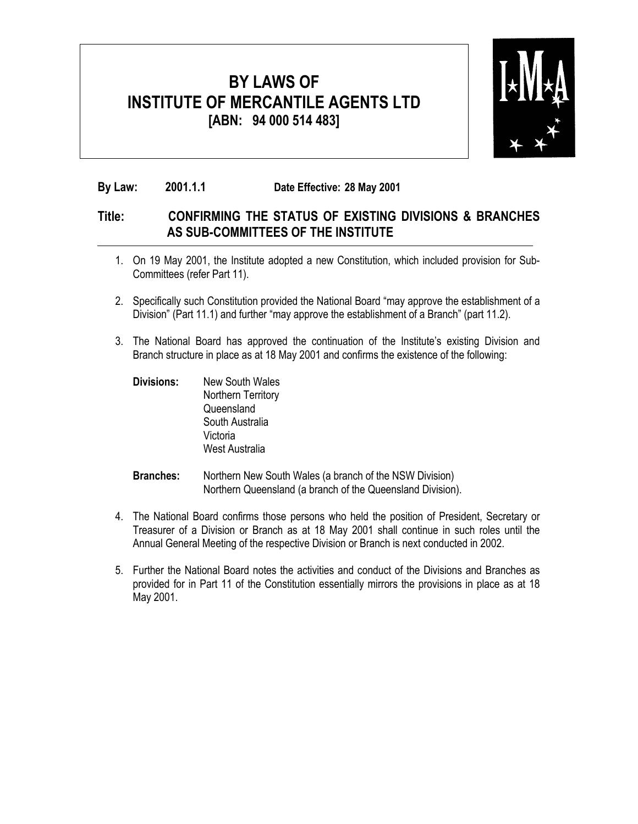

#### **By Law: 2001.1.1 Date Effective: 28 May 2001**

#### **Title: CONFIRMING THE STATUS OF EXISTING DIVISIONS & BRANCHES AS SUB-COMMITTEES OF THE INSTITUTE**

- 1. On 19 May 2001, the Institute adopted a new Constitution, which included provision for Sub-Committees (refer Part 11).
- 2. Specifically such Constitution provided the National Board "may approve the establishment of a Division" (Part 11.1) and further "may approve the establishment of a Branch" (part 11.2).
- 3. The National Board has approved the continuation of the Institute's existing Division and Branch structure in place as at 18 May 2001 and confirms the existence of the following:
	- **Divisions:** New South Wales Northern Territory Queensland South Australia Victoria West Australia

#### **Branches:** Northern New South Wales (a branch of the NSW Division) Northern Queensland (a branch of the Queensland Division).

- 4. The National Board confirms those persons who held the position of President, Secretary or Treasurer of a Division or Branch as at 18 May 2001 shall continue in such roles until the Annual General Meeting of the respective Division or Branch is next conducted in 2002.
- 5. Further the National Board notes the activities and conduct of the Divisions and Branches as provided for in Part 11 of the Constitution essentially mirrors the provisions in place as at 18 May 2001.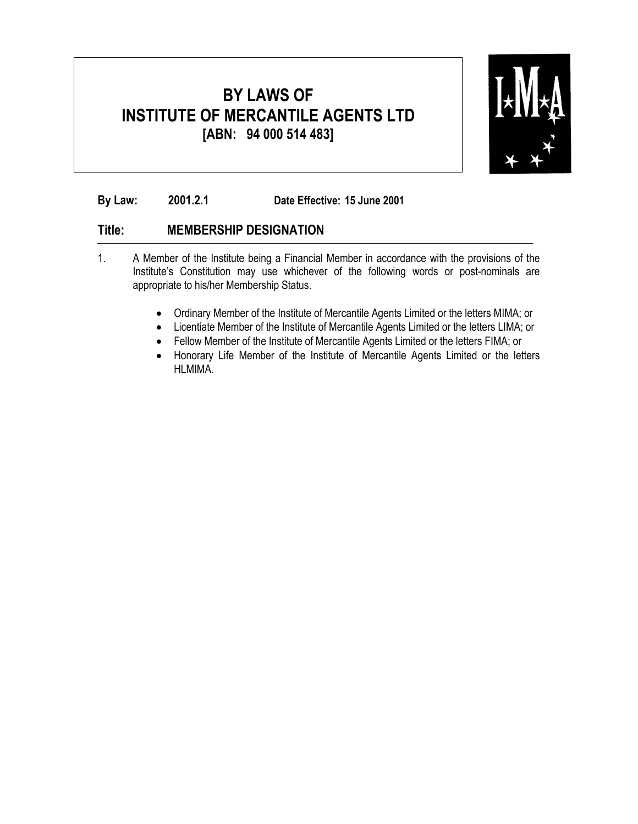

**By Law: 2001.2.1 Date Effective: 15 June 2001**

#### **Title: MEMBERSHIP DESIGNATION**

- 1. A Member of the Institute being a Financial Member in accordance with the provisions of the Institute's Constitution may use whichever of the following words or post-nominals are appropriate to his/her Membership Status.
	- Ordinary Member of the Institute of Mercantile Agents Limited or the letters MIMA; or
	- Licentiate Member of the Institute of Mercantile Agents Limited or the letters LIMA; or
	- Fellow Member of the Institute of Mercantile Agents Limited or the letters FIMA; or
	- Honorary Life Member of the Institute of Mercantile Agents Limited or the letters HLMIMA.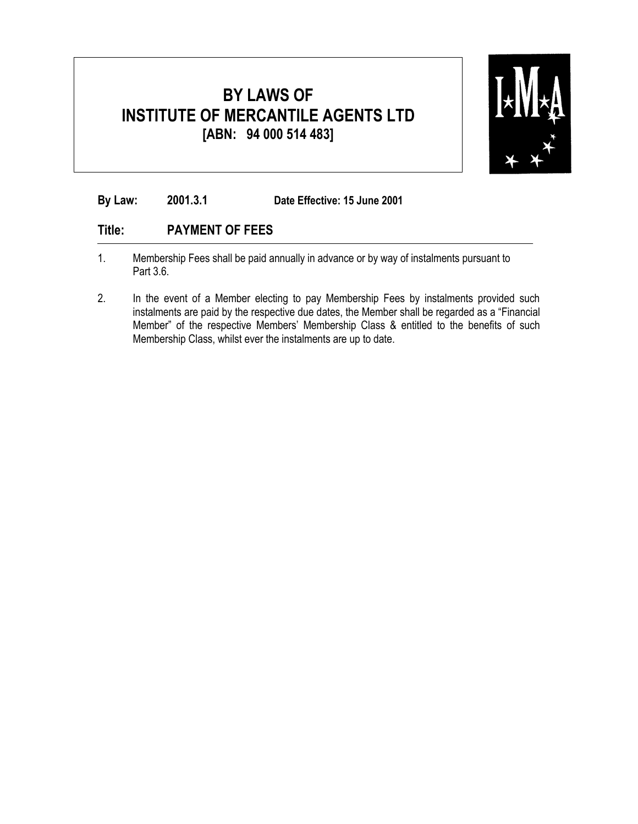

**By Law: 2001.3.1 Date Effective: 15 June 2001**

#### **Title: PAYMENT OF FEES**

- 1. Membership Fees shall be paid annually in advance or by way of instalments pursuant to Part 3.6.
- 2. In the event of a Member electing to pay Membership Fees by instalments provided such instalments are paid by the respective due dates, the Member shall be regarded as a "Financial Member" of the respective Members' Membership Class & entitled to the benefits of such Membership Class, whilst ever the instalments are up to date.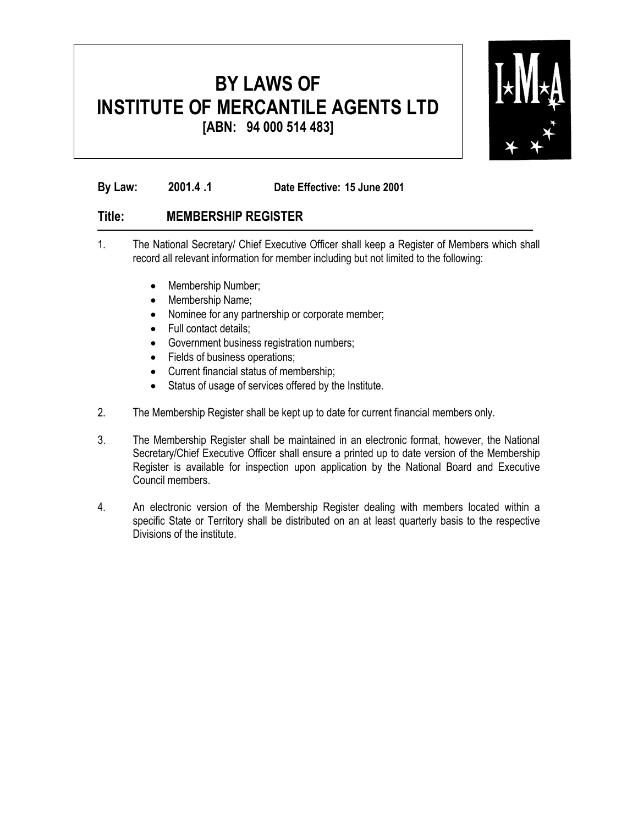

**By Law: 2001.4 .1 Date Effective: 15 June 2001**

#### **Title: MEMBERSHIP REGISTER**

- 1. The National Secretary/ Chief Executive Officer shall keep a Register of Members which shall record all relevant information for member including but not limited to the following:
	- Membership Number;
	- Membership Name;
	- Nominee for any partnership or corporate member;
	- Full contact details;
	- Government business registration numbers;
	- Fields of business operations;
	- Current financial status of membership;
	- Status of usage of services offered by the Institute.
- 2. The Membership Register shall be kept up to date for current financial members only.
- 3. The Membership Register shall be maintained in an electronic format, however, the National Secretary/Chief Executive Officer shall ensure a printed up to date version of the Membership Register is available for inspection upon application by the National Board and Executive Council members.
- 4. An electronic version of the Membership Register dealing with members located within a specific State or Territory shall be distributed on an at least quarterly basis to the respective Divisions of the institute.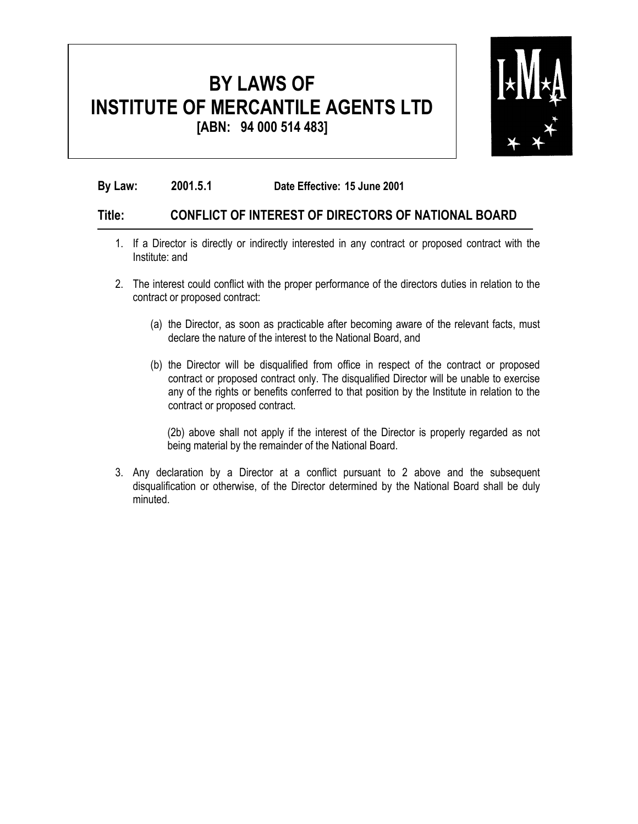

**By Law: 2001.5 .1 Date Effective: 15 June 2001**

#### **Title: CONFLICT OF INTEREST OF DIRECTORS OF NATIONAL BOARD**

- 1. If a Director is directly or indirectly interested in any contract or proposed contract with the Institute: and
- 2. The interest could conflict with the proper performance of the directors duties in relation to the contract or proposed contract:
	- (a) the Director, as soon as practicable after becoming aware of the relevant facts, must declare the nature of the interest to the National Board, and
	- (b) the Director will be disqualified from office in respect of the contract or proposed contract or proposed contract only. The disqualified Director will be unable to exercise any of the rights or benefits conferred to that position by the Institute in relation to the contract or proposed contract.

(2b) above shall not apply if the interest of the Director is properly regarded as not being material by the remainder of the National Board.

3. Any declaration by a Director at a conflict pursuant to 2 above and the subsequent disqualification or otherwise, of the Director determined by the National Board shall be duly minuted.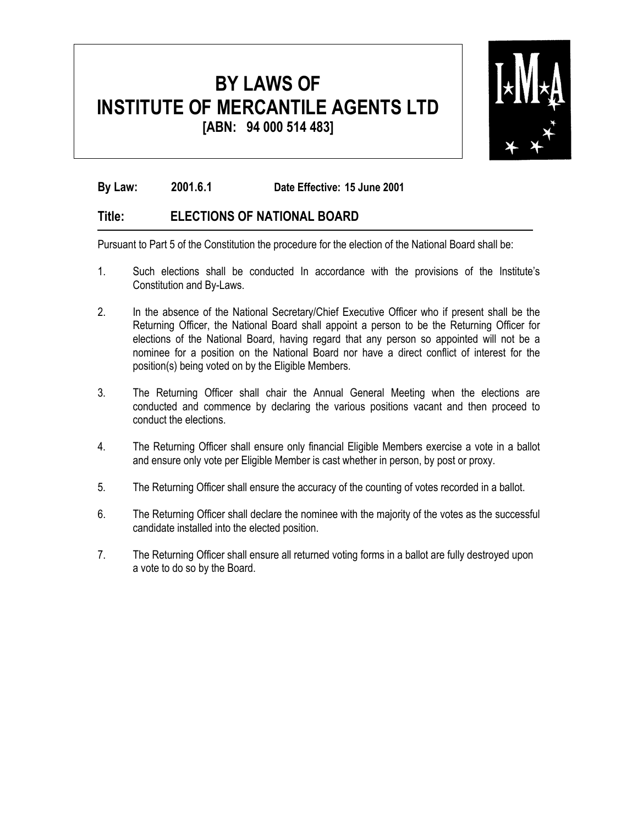

**By Law: 2001.6 .1 Date Effective: 15 June 2001**

#### **Title: ELECTIONS OF NATIONAL BOARD**

Pursuant to Part 5 of the Constitution the procedure for the election of the National Board shall be:

- 1. Such elections shall be conducted In accordance with the provisions of the Institute's Constitution and By-Laws.
- 2. In the absence of the National Secretary/Chief Executive Officer who if present shall be the Returning Officer, the National Board shall appoint a person to be the Returning Officer for elections of the National Board, having regard that any person so appointed will not be a nominee for a position on the National Board nor have a direct conflict of interest for the position(s) being voted on by the Eligible Members.
- 3. The Returning Officer shall chair the Annual General Meeting when the elections are conducted and commence by declaring the various positions vacant and then proceed to conduct the elections.
- 4. The Returning Officer shall ensure only financial Eligible Members exercise a vote in a ballot and ensure only vote per Eligible Member is cast whether in person, by post or proxy.
- 5. The Returning Officer shall ensure the accuracy of the counting of votes recorded in a ballot.
- 6. The Returning Officer shall declare the nominee with the majority of the votes as the successful candidate installed into the elected position.
- 7. The Returning Officer shall ensure all returned voting forms in a ballot are fully destroyed upon a vote to do so by the Board.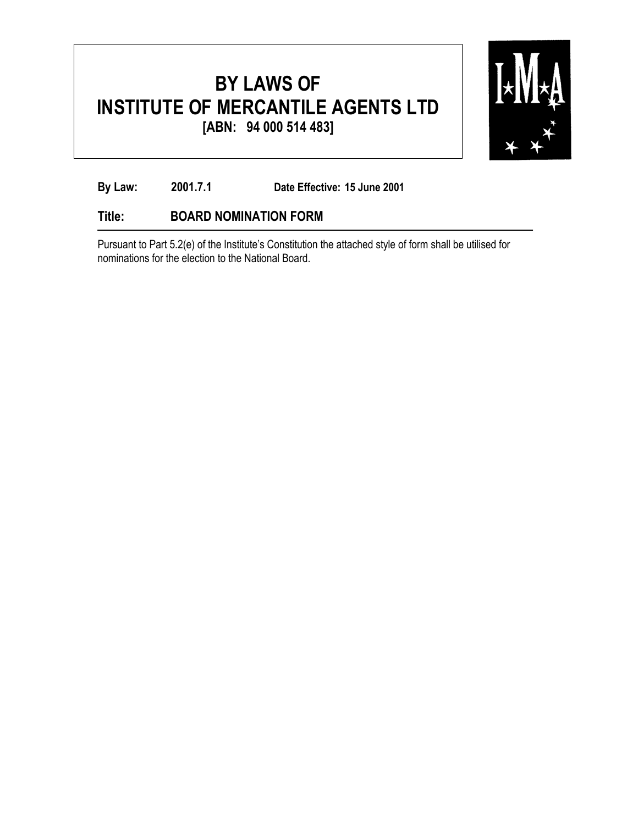

**By Law: 2001.7.1 Date Effective: 15 June 2001**

#### **Title: BOARD NOMINATION FORM**

Pursuant to Part 5.2(e) of the Institute's Constitution the attached style of form shall be utilised for nominations for the election to the National Board.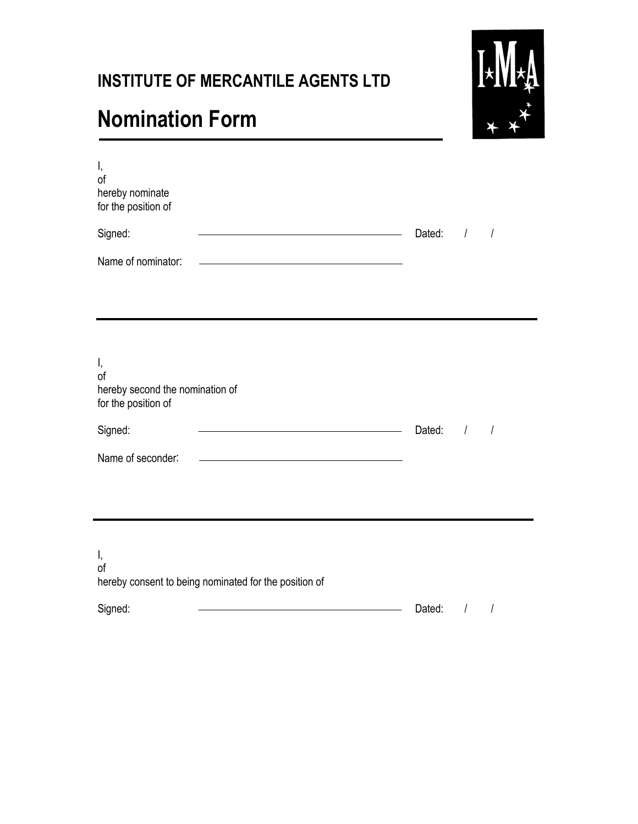### **INSTITUTE OF MERCANTILE AGENTS LTD**

# **Nomination Form**



| I,<br>of<br>hereby nominate<br>for the position of                                                 |                                                                                                                                                |        |                |                |
|----------------------------------------------------------------------------------------------------|------------------------------------------------------------------------------------------------------------------------------------------------|--------|----------------|----------------|
| Signed:                                                                                            | <u> 1989 - Johann Stoff, Amerikaansk politiker (</u>                                                                                           | Dated: | $\sqrt{ }$     | $\sqrt{2}$     |
| Name of nominator:                                                                                 |                                                                                                                                                |        |                |                |
| I,<br>of<br>hereby second the nomination of<br>for the position of<br>Signed:<br>Name of seconder: | <u> 1989 - Johann Barbara, martxa alemaniar a</u><br>the control of the control of the control of the control of the control of the control of | Dated: | $\overline{1}$ | $\overline{1}$ |
| Ι,<br>of<br>hereby consent to being nominated for the position of                                  |                                                                                                                                                |        |                |                |

Signed: Contact Contact Contact Contact Contact Contact Contact Contact Contact Contact Contact Contact Contact Contact Contact Contact Contact Contact Contact Contact Contact Contact Contact Contact Contact Contact Contac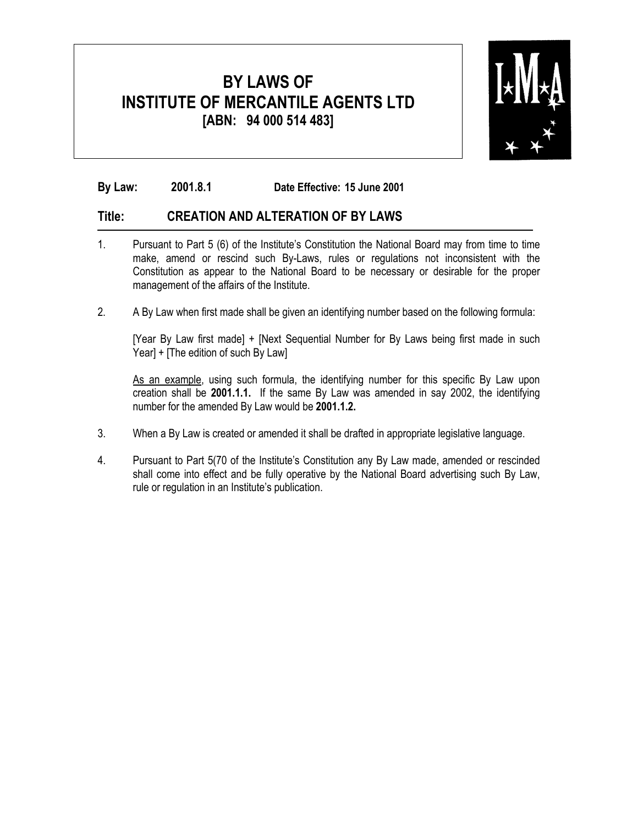

#### **By Law: 2001.8.1 Date Effective: 15 June 2001**

#### **Title: CREATION AND ALTERATION OF BY LAWS**

- 1. Pursuant to Part 5 (6) of the Institute's Constitution the National Board may from time to time make, amend or rescind such By-Laws, rules or regulations not inconsistent with the Constitution as appear to the National Board to be necessary or desirable for the proper management of the affairs of the Institute.
- 2. A By Law when first made shall be given an identifying number based on the following formula:

[Year By Law first made] + [Next Sequential Number for By Laws being first made in such Year] + [The edition of such By Law]

As an example, using such formula, the identifying number for this specific By Law upon creation shall be **2001.1.1.** If the same By Law was amended in say 2002, the identifying number for the amended By Law would be **2001.1.2.**

- 3. When a By Law is created or amended it shall be drafted in appropriate legislative language.
- 4. Pursuant to Part 5(70 of the Institute's Constitution any By Law made, amended or rescinded shall come into effect and be fully operative by the National Board advertising such By Law, rule or regulation in an Institute's publication.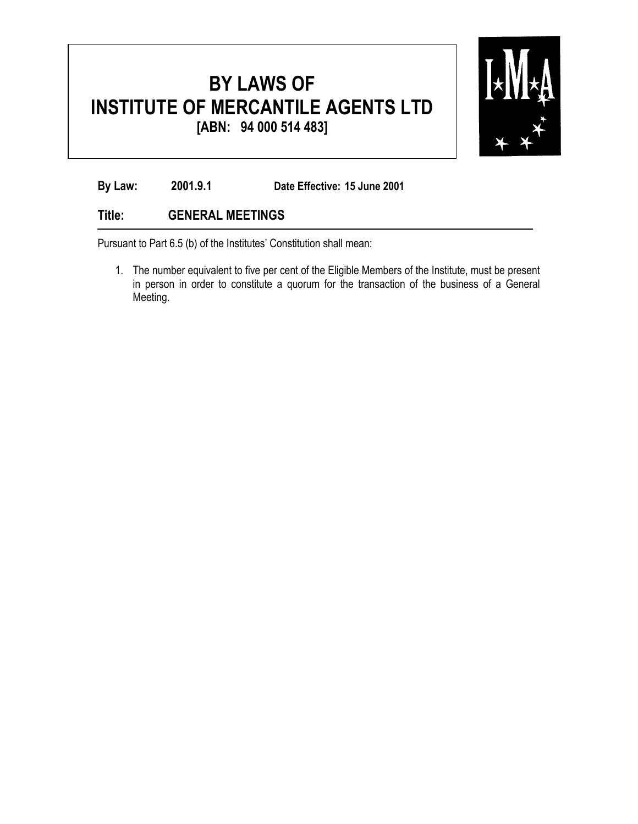

**By Law: 2001.9.1 Date Effective: 15 June 2001**

#### **Title: GENERAL MEETINGS**

Pursuant to Part 6.5 (b) of the Institutes' Constitution shall mean:

1. The number equivalent to five per cent of the Eligible Members of the Institute, must be present in person in order to constitute a quorum for the transaction of the business of a General Meeting.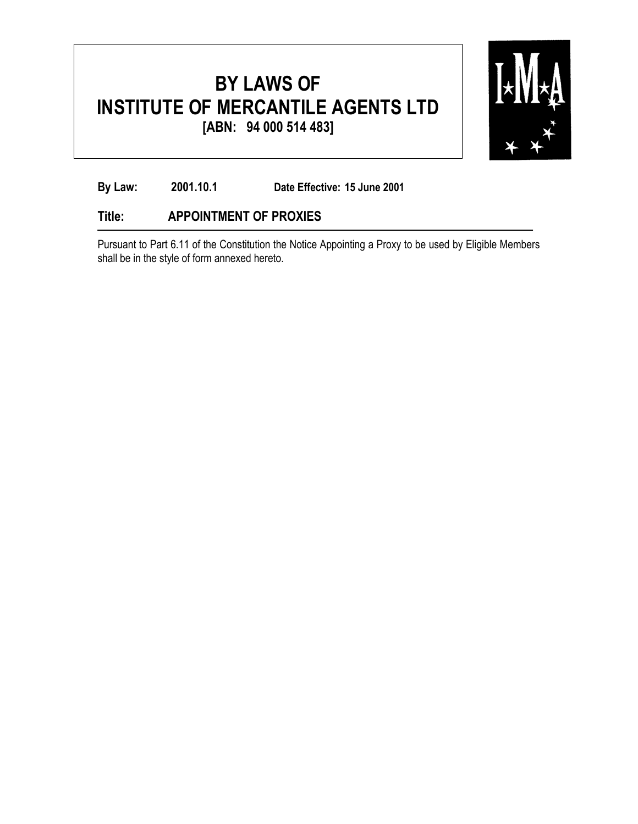

**By Law: 2001.10.1 Date Effective: 15 June 2001**

#### **Title: APPOINTMENT OF PROXIES**

Pursuant to Part 6.11 of the Constitution the Notice Appointing a Proxy to be used by Eligible Members shall be in the style of form annexed hereto.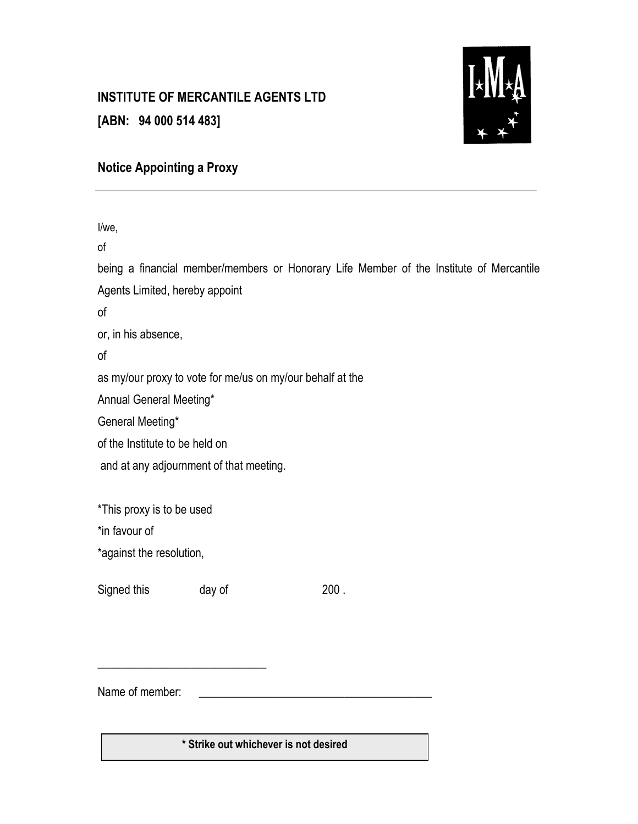#### **INSTITUTE OF MERCANTILE AGENTS LTD**

**[ABN: 94 000 514 483]** 



#### **Notice Appointing a Proxy**

I/we, of being a financial member/members or Honorary Life Member of the Institute of Mercantile Agents Limited, hereby appoint of or, in his absence, of as my/our proxy to vote for me/us on my/our behalf at the Annual General Meeting\* General Meeting\* of the Institute to be held on and at any adjournment of that meeting. \*This proxy is to be used \*in favour of \*against the resolution, Signed this day of 200. \_\_\_\_\_\_\_\_\_\_\_\_\_\_\_\_\_\_\_\_\_\_\_\_\_\_\_\_\_

Name of member:

**\* Strike out whichever is not desired**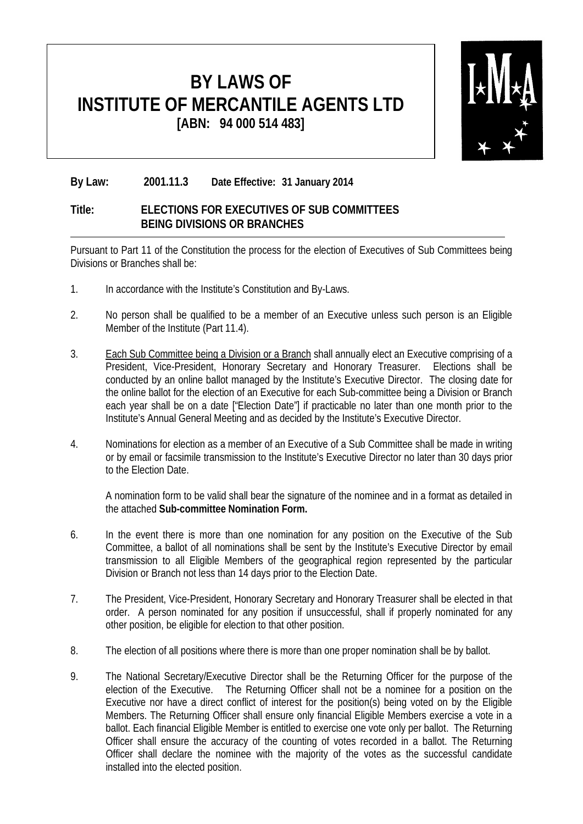

#### **By Law: 2001.11.3 Date Effective: 31 January 2014**

#### **Title: ELECTIONS FOR EXECUTIVES OF SUB COMMITTEES BEING DIVISIONS OR BRANCHES**

Pursuant to Part 11 of the Constitution the process for the election of Executives of Sub Committees being Divisions or Branches shall be:

- 1. In accordance with the Institute's Constitution and By-Laws.
- 2. No person shall be qualified to be a member of an Executive unless such person is an Eligible Member of the Institute (Part 11.4).
- 3. Each Sub Committee being a Division or a Branch shall annually elect an Executive comprising of a President, Vice-President, Honorary Secretary and Honorary Treasurer. Elections shall be conducted by an online ballot managed by the Institute's Executive Director. The closing date for the online ballot for the election of an Executive for each Sub-committee being a Division or Branch each year shall be on a date ["Election Date"] if practicable no later than one month prior to the Institute's Annual General Meeting and as decided by the Institute's Executive Director.
- 4. Nominations for election as a member of an Executive of a Sub Committee shall be made in writing or by email or facsimile transmission to the Institute's Executive Director no later than 30 days prior to the Election Date.

A nomination form to be valid shall bear the signature of the nominee and in a format as detailed in the attached **Sub-committee Nomination Form.**

- 6. In the event there is more than one nomination for any position on the Executive of the Sub Committee, a ballot of all nominations shall be sent by the Institute's Executive Director by email transmission to all Eligible Members of the geographical region represented by the particular Division or Branch not less than 14 days prior to the Election Date.
- 7. The President, Vice-President, Honorary Secretary and Honorary Treasurer shall be elected in that order. A person nominated for any position if unsuccessful, shall if properly nominated for any other position, be eligible for election to that other position.
- 8. The election of all positions where there is more than one proper nomination shall be by ballot.
- 9. The National Secretary/Executive Director shall be the Returning Officer for the purpose of the election of the Executive. The Returning Officer shall not be a nominee for a position on the Executive nor have a direct conflict of interest for the position(s) being voted on by the Eligible Members. The Returning Officer shall ensure only financial Eligible Members exercise a vote in a ballot. Each financial Eligible Member is entitled to exercise one vote only per ballot. The Returning Officer shall ensure the accuracy of the counting of votes recorded in a ballot. The Returning Officer shall declare the nominee with the majority of the votes as the successful candidate installed into the elected position.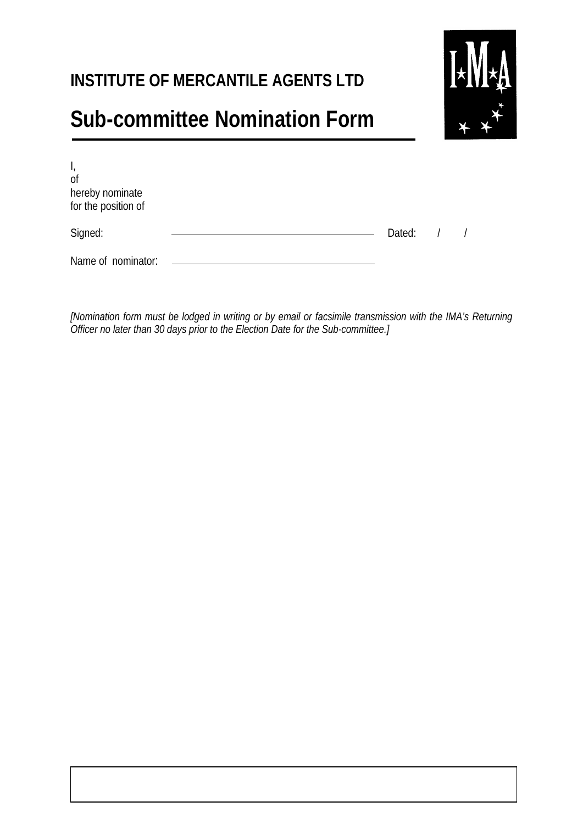### **INSTITUTE OF MERCANTILE AGENTS LTD**

# **Sub-committee Nomination Form**



| $\mathsf{I}_{\mathsf{r}}$<br>0f<br>hereby nominate<br>for the position of |          |  |
|---------------------------------------------------------------------------|----------|--|
| Signed:                                                                   | Dated: / |  |
| Name of nominator:                                                        |          |  |

*[Nomination form must be lodged in writing or by email or facsimile transmission with the IMA's Returning Officer no later than 30 days prior to the Election Date for the Sub-committee.]*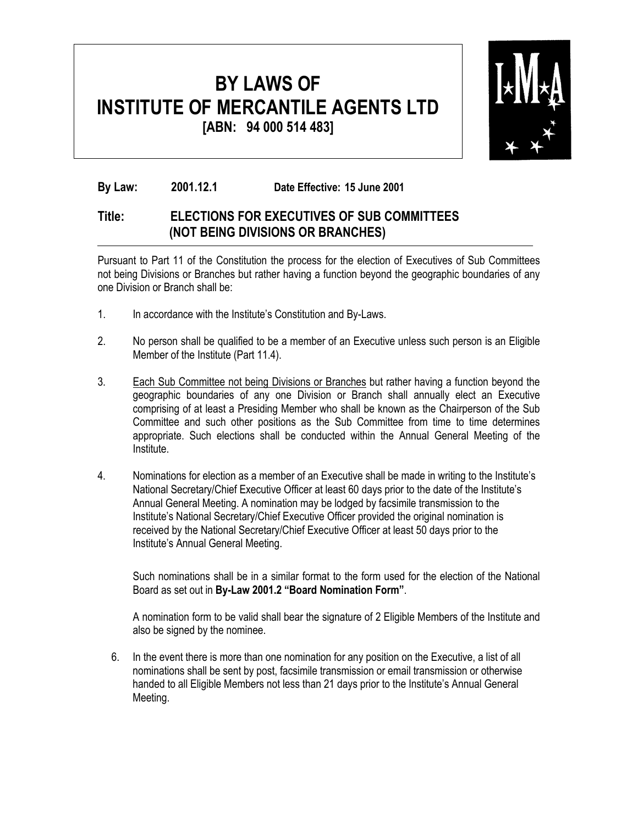

**By Law: 2001.12.1 Date Effective: 15 June 2001**

#### **Title: ELECTIONS FOR EXECUTIVES OF SUB COMMITTEES (NOT BEING DIVISIONS OR BRANCHES)**

Pursuant to Part 11 of the Constitution the process for the election of Executives of Sub Committees not being Divisions or Branches but rather having a function beyond the geographic boundaries of any one Division or Branch shall be:

- 1. In accordance with the Institute's Constitution and By-Laws.
- 2. No person shall be qualified to be a member of an Executive unless such person is an Eligible Member of the Institute (Part 11.4).
- 3. Each Sub Committee not being Divisions or Branches but rather having a function beyond the geographic boundaries of any one Division or Branch shall annually elect an Executive comprising of at least a Presiding Member who shall be known as the Chairperson of the Sub Committee and such other positions as the Sub Committee from time to time determines appropriate. Such elections shall be conducted within the Annual General Meeting of the Institute.
- 4. Nominations for election as a member of an Executive shall be made in writing to the Institute's National Secretary/Chief Executive Officer at least 60 days prior to the date of the Institute's Annual General Meeting. A nomination may be lodged by facsimile transmission to the Institute's National Secretary/Chief Executive Officer provided the original nomination is received by the National Secretary/Chief Executive Officer at least 50 days prior to the Institute's Annual General Meeting.

Such nominations shall be in a similar format to the form used for the election of the National Board as set out in **By-Law 2001.2 "Board Nomination Form"**.

A nomination form to be valid shall bear the signature of 2 Eligible Members of the Institute and also be signed by the nominee.

6. In the event there is more than one nomination for any position on the Executive, a list of all nominations shall be sent by post, facsimile transmission or email transmission or otherwise handed to all Eligible Members not less than 21 days prior to the Institute's Annual General Meeting.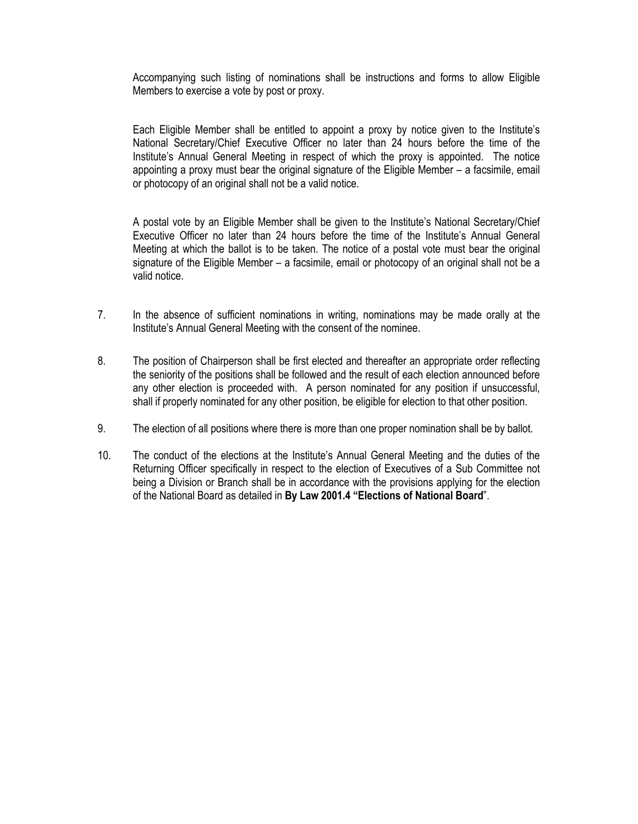Accompanying such listing of nominations shall be instructions and forms to allow Eligible Members to exercise a vote by post or proxy.

Each Eligible Member shall be entitled to appoint a proxy by notice given to the Institute's National Secretary/Chief Executive Officer no later than 24 hours before the time of the Institute's Annual General Meeting in respect of which the proxy is appointed. The notice appointing a proxy must bear the original signature of the Eligible Member – a facsimile, email or photocopy of an original shall not be a valid notice.

A postal vote by an Eligible Member shall be given to the Institute's National Secretary/Chief Executive Officer no later than 24 hours before the time of the Institute's Annual General Meeting at which the ballot is to be taken. The notice of a postal vote must bear the original signature of the Eligible Member – a facsimile, email or photocopy of an original shall not be a valid notice.

- 7. In the absence of sufficient nominations in writing, nominations may be made orally at the Institute's Annual General Meeting with the consent of the nominee.
- 8. The position of Chairperson shall be first elected and thereafter an appropriate order reflecting the seniority of the positions shall be followed and the result of each election announced before any other election is proceeded with. A person nominated for any position if unsuccessful, shall if properly nominated for any other position, be eligible for election to that other position.
- 9. The election of all positions where there is more than one proper nomination shall be by ballot.
- 10. The conduct of the elections at the Institute's Annual General Meeting and the duties of the Returning Officer specifically in respect to the election of Executives of a Sub Committee not being a Division or Branch shall be in accordance with the provisions applying for the election of the National Board as detailed in **By Law 2001.4 "Elections of National Board**".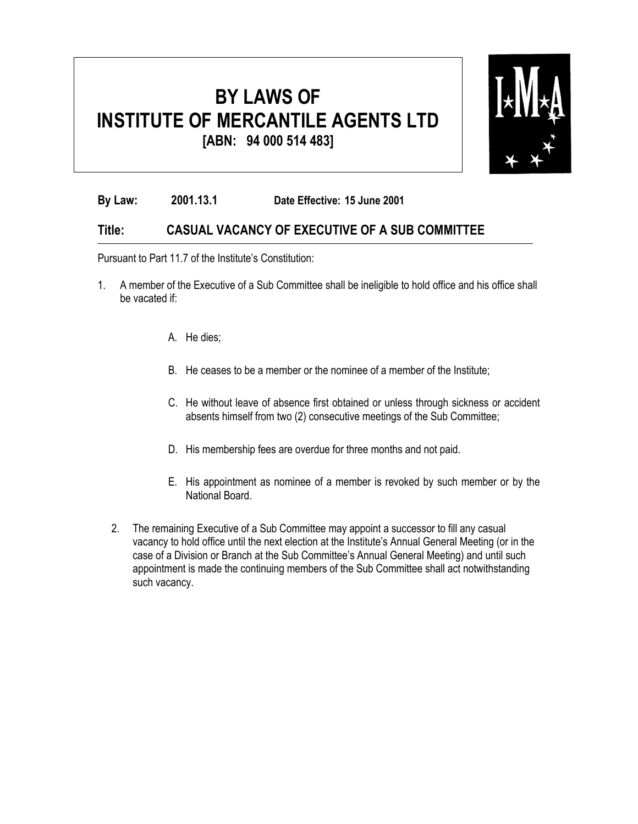

**By Law: 2001.13.1 Date Effective: 15 June 2001**

#### **Title: CASUAL VACANCY OF EXECUTIVE OF A SUB COMMITTEE**

Pursuant to Part 11.7 of the Institute's Constitution:

- 1. A member of the Executive of a Sub Committee shall be ineligible to hold office and his office shall be vacated if:
	- A. He dies;
	- B. He ceases to be a member or the nominee of a member of the Institute;
	- C. He without leave of absence first obtained or unless through sickness or accident absents himself from two (2) consecutive meetings of the Sub Committee;
	- D. His membership fees are overdue for three months and not paid.
	- E. His appointment as nominee of a member is revoked by such member or by the National Board.
	- 2. The remaining Executive of a Sub Committee may appoint a successor to fill any casual vacancy to hold office until the next election at the Institute's Annual General Meeting (or in the case of a Division or Branch at the Sub Committee's Annual General Meeting) and until such appointment is made the continuing members of the Sub Committee shall act notwithstanding such vacancy.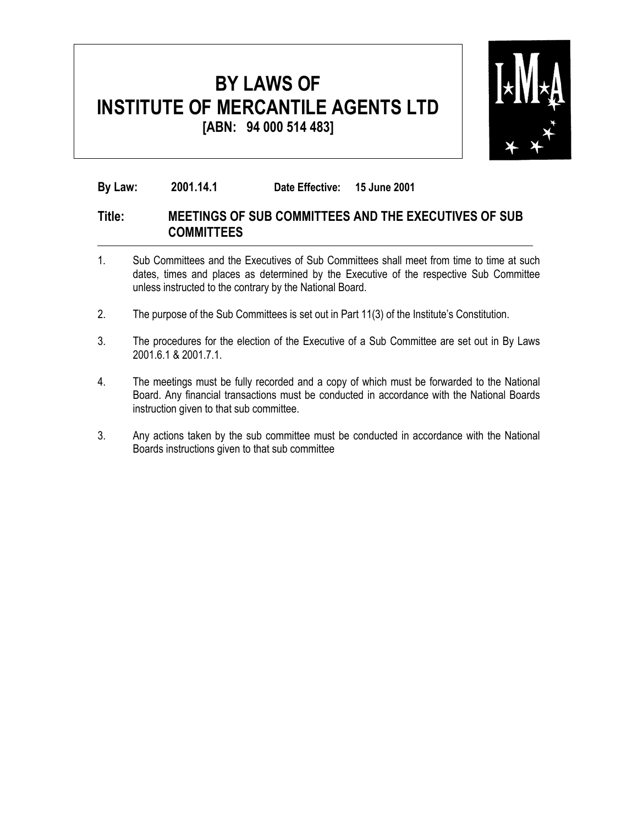

**By Law: 2001.14.1 Date Effective: 15 June 2001**

#### **Title: MEETINGS OF SUB COMMITTEES AND THE EXECUTIVES OF SUB COMMITTEES**

- 1. Sub Committees and the Executives of Sub Committees shall meet from time to time at such dates, times and places as determined by the Executive of the respective Sub Committee unless instructed to the contrary by the National Board.
- 2. The purpose of the Sub Committees is set out in Part 11(3) of the Institute's Constitution.
- 3. The procedures for the election of the Executive of a Sub Committee are set out in By Laws 2001.6.1 & 2001.7.1.
- 4. The meetings must be fully recorded and a copy of which must be forwarded to the National Board. Any financial transactions must be conducted in accordance with the National Boards instruction given to that sub committee.
- 3. Any actions taken by the sub committee must be conducted in accordance with the National Boards instructions given to that sub committee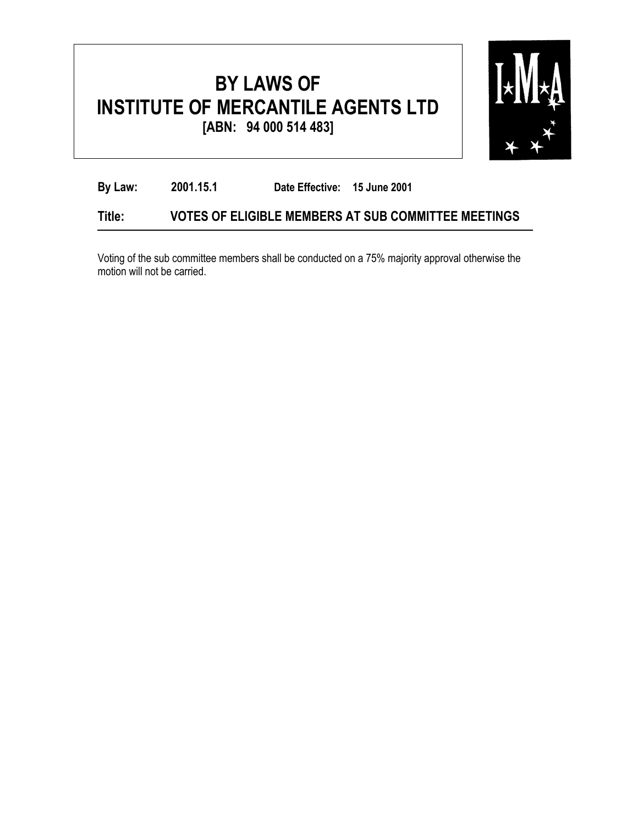

| By Law: | 2001.15.1 | Date Effective: 15 June 2001 |                                                     |
|---------|-----------|------------------------------|-----------------------------------------------------|
| Title:  |           |                              | VOTES OF ELIGIBLE MEMBERS AT SUB COMMITTEE MEETINGS |

Voting of the sub committee members shall be conducted on a 75% majority approval otherwise the motion will not be carried.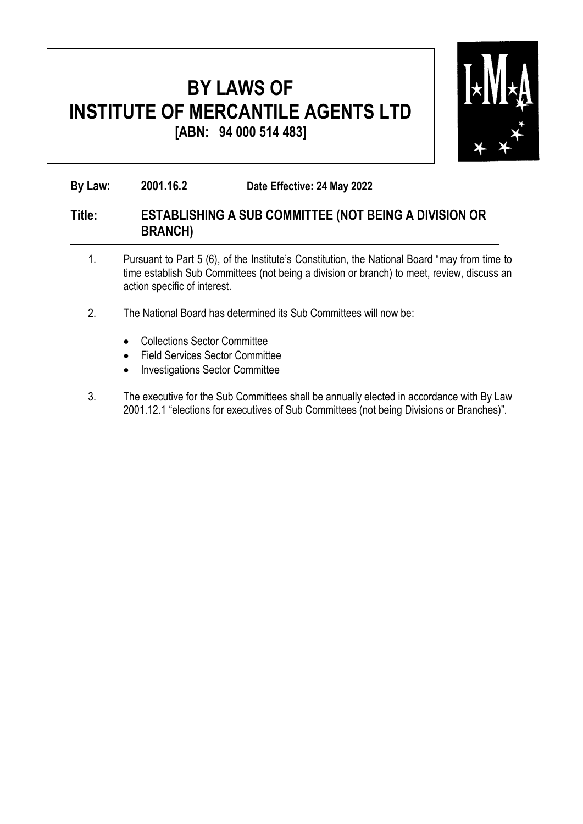

**By Law: 2001.16.2 Date Effective: 24 May 2022**

#### **Title: ESTABLISHING A SUB COMMITTEE (NOT BEING A DIVISION OR BRANCH)**

- 1. Pursuant to Part 5 (6), of the Institute's Constitution, the National Board "may from time to time establish Sub Committees (not being a division or branch) to meet, review, discuss an action specific of interest.
- 2. The National Board has determined its Sub Committees will now be:
	- Collections Sector Committee
	- Field Services Sector Committee
	- Investigations Sector Committee
- 3. The executive for the Sub Committees shall be annually elected in accordance with By Law 2001.12.1 "elections for executives of Sub Committees (not being Divisions or Branches)".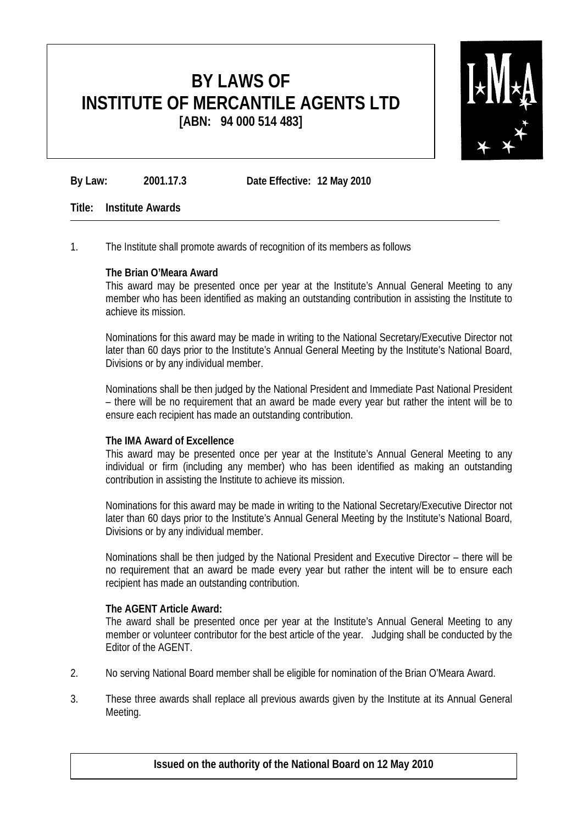

**By Law: 2001.17.3 Date Effective: 12 May 2010**

#### **Title: Institute Awards**

1. The Institute shall promote awards of recognition of its members as follows

#### **The Brian O'Meara Award**

This award may be presented once per year at the Institute's Annual General Meeting to any member who has been identified as making an outstanding contribution in assisting the Institute to achieve its mission.

Nominations for this award may be made in writing to the National Secretary/Executive Director not later than 60 days prior to the Institute's Annual General Meeting by the Institute's National Board, Divisions or by any individual member.

Nominations shall be then judged by the National President and Immediate Past National President – there will be no requirement that an award be made every year but rather the intent will be to ensure each recipient has made an outstanding contribution.

#### **The IMA Award of Excellence**

This award may be presented once per year at the Institute's Annual General Meeting to any individual or firm (including any member) who has been identified as making an outstanding contribution in assisting the Institute to achieve its mission.

Nominations for this award may be made in writing to the National Secretary/Executive Director not later than 60 days prior to the Institute's Annual General Meeting by the Institute's National Board, Divisions or by any individual member.

Nominations shall be then judged by the National President and Executive Director – there will be no requirement that an award be made every year but rather the intent will be to ensure each recipient has made an outstanding contribution.

#### **The AGENT Article Award:**

The award shall be presented once per year at the Institute's Annual General Meeting to any member or volunteer contributor for the best article of the year. Judging shall be conducted by the Editor of the AGENT.

- 2. No serving National Board member shall be eligible for nomination of the Brian O'Meara Award.
- 3. These three awards shall replace all previous awards given by the Institute at its Annual General Meeting.

**Issued on the authority of the National Board on 12 May 2010**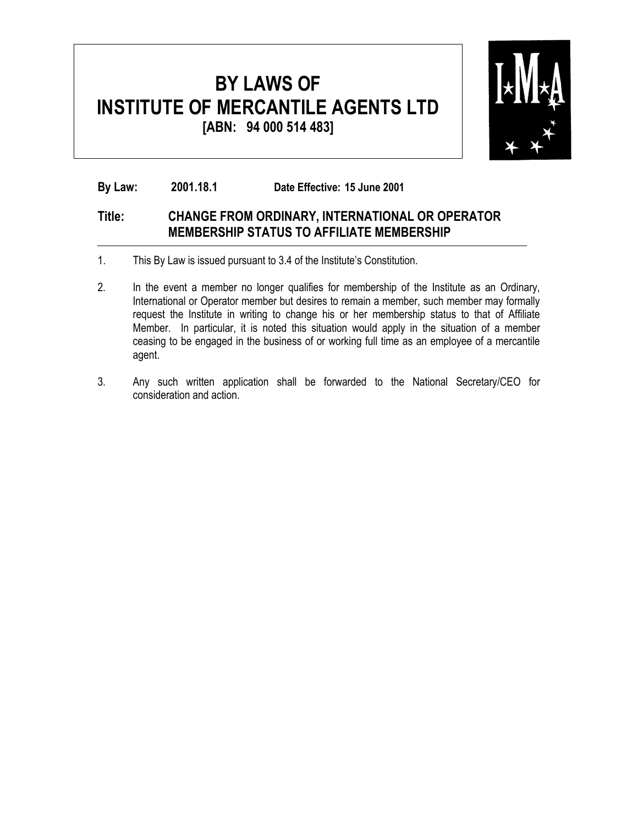

**By Law: 2001.18.1 Date Effective: 15 June 2001**

#### **Title: CHANGE FROM ORDINARY, INTERNATIONAL OR OPERATOR MEMBERSHIP STATUS TO AFFILIATE MEMBERSHIP**

- 1. This By Law is issued pursuant to 3.4 of the Institute's Constitution.
- 2. In the event a member no longer qualifies for membership of the Institute as an Ordinary, International or Operator member but desires to remain a member, such member may formally request the Institute in writing to change his or her membership status to that of Affiliate Member. In particular, it is noted this situation would apply in the situation of a member ceasing to be engaged in the business of or working full time as an employee of a mercantile agent.
- 3. Any such written application shall be forwarded to the National Secretary/CEO for consideration and action.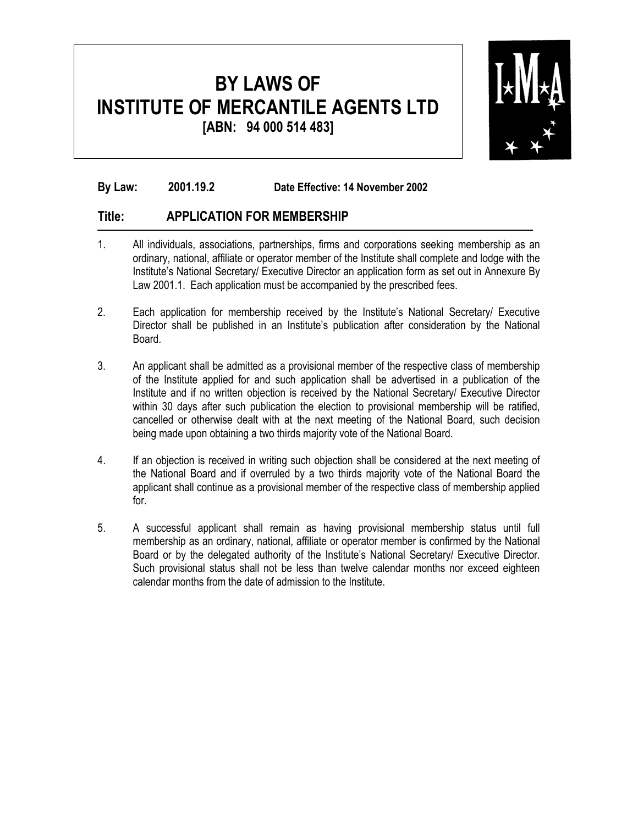

#### **By Law: 2001.19.2 Date Effective: 14 November 2002**

#### **Title: APPLICATION FOR MEMBERSHIP**

- 1. All individuals, associations, partnerships, firms and corporations seeking membership as an ordinary, national, affiliate or operator member of the Institute shall complete and lodge with the Institute's National Secretary/ Executive Director an application form as set out in Annexure By Law 2001.1. Each application must be accompanied by the prescribed fees.
- 2. Each application for membership received by the Institute's National Secretary/ Executive Director shall be published in an Institute's publication after consideration by the National Board.
- 3. An applicant shall be admitted as a provisional member of the respective class of membership of the Institute applied for and such application shall be advertised in a publication of the Institute and if no written objection is received by the National Secretary/ Executive Director within 30 days after such publication the election to provisional membership will be ratified, cancelled or otherwise dealt with at the next meeting of the National Board, such decision being made upon obtaining a two thirds majority vote of the National Board.
- 4. If an objection is received in writing such objection shall be considered at the next meeting of the National Board and if overruled by a two thirds majority vote of the National Board the applicant shall continue as a provisional member of the respective class of membership applied for.
- 5. A successful applicant shall remain as having provisional membership status until full membership as an ordinary, national, affiliate or operator member is confirmed by the National Board or by the delegated authority of the Institute's National Secretary/ Executive Director. Such provisional status shall not be less than twelve calendar months nor exceed eighteen calendar months from the date of admission to the Institute.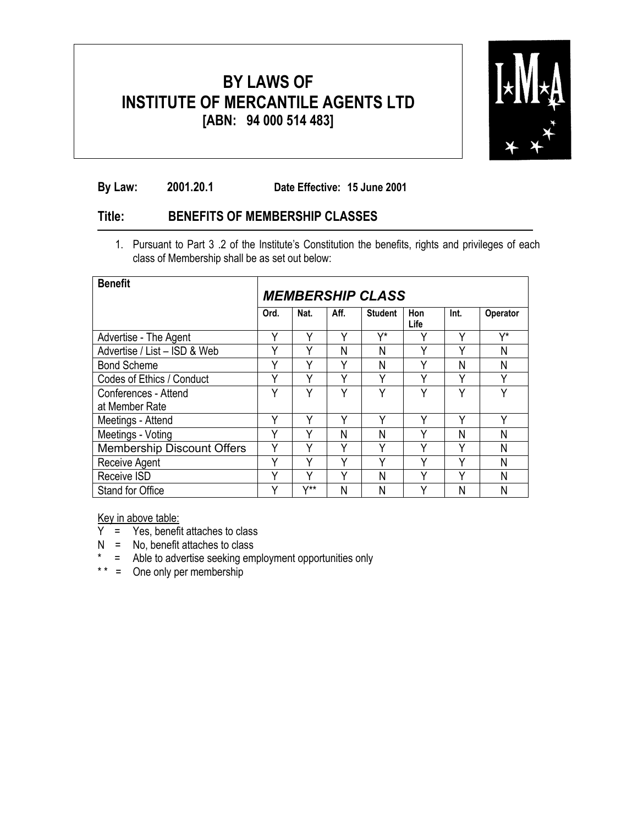

**By Law: 2001.20.1 Date Effective: 15 June 2001** 

#### **Title: BENEFITS OF MEMBERSHIP CLASSES**

1. Pursuant to Part 3 .2 of the Institute's Constitution the benefits, rights and privileges of each class of Membership shall be as set out below:

| <b>Benefit</b>                    | <b>MEMBERSHIP CLASS</b> |       |      |                |             |      |                 |
|-----------------------------------|-------------------------|-------|------|----------------|-------------|------|-----------------|
|                                   | Ord.                    | Nat.  | Aff. | <b>Student</b> | Hon<br>Life | Int. | <b>Operator</b> |
| Advertise - The Agent             | Y                       | ٧     | v    | V*             | v           | Υ    | V*              |
| Advertise / List - ISD & Web      | v                       | v     | Ν    | Ν              | v           | v    | Ν               |
| <b>Bond Scheme</b>                | Υ                       | Υ     | ٧    | Ν              | v           | Ν    | Ν               |
| Codes of Ethics / Conduct         | v                       | Υ     | v    | Υ              | v           | ٧    | ٧               |
| Conferences - Attend              | v                       | v     | v    | v              | v           | v    | $\checkmark$    |
| at Member Rate                    |                         |       |      |                |             |      |                 |
| Meetings - Attend                 | Υ                       | Υ     | v    | Υ              | Υ           | ٧    | Υ               |
| Meetings - Voting                 | v                       | v     | Ν    | Ν              | v           | Ν    | Ν               |
| <b>Membership Discount Offers</b> | γ                       | ٧     | ٧    | Υ              | ν           | γ    | N               |
| Receive Agent                     | v                       | v     | v    | ٧              | v           | ٧    | Ν               |
| Receive ISD                       | v                       | v     | v    | Ν              | v           | v    | Ν               |
| Stand for Office                  |                         | $V**$ | Ν    | Ν              |             | Ν    | Ν               |

Key in above table:

- $Y = \text{Yes}$ , benefit attaches to class
- $N = No$ , benefit attaches to class
- \* = Able to advertise seeking employment opportunities only
- \* \* = One only per membership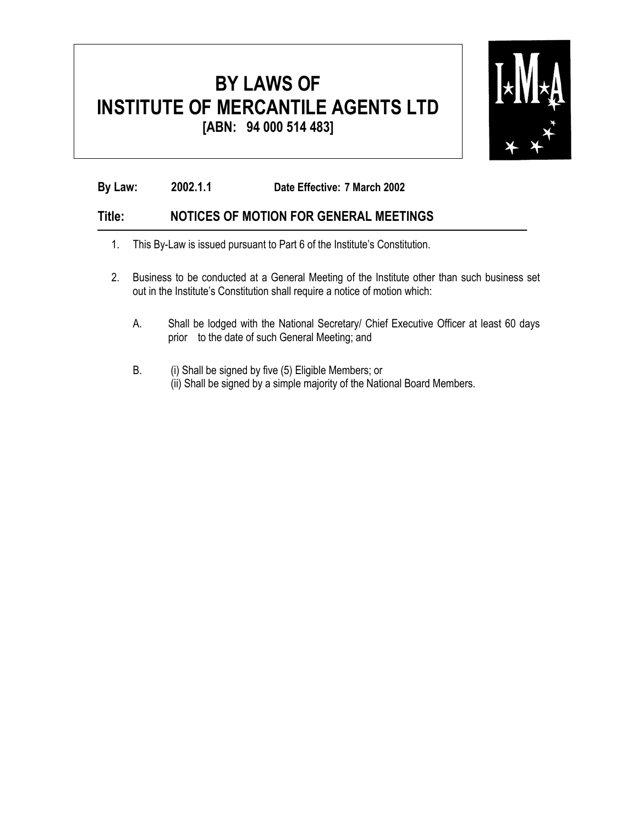

**By Law: 2002.1.1 Date Effective: 7 March 2002**

#### **Title: NOTICES OF MOTION FOR GENERAL MEETINGS**

- 1. This By-Law is issued pursuant to Part 6 of the Institute's Constitution.
- 2. Business to be conducted at a General Meeting of the Institute other than such business set out in the Institute's Constitution shall require a notice of motion which:
	- A. Shall be lodged with the National Secretary/ Chief Executive Officer at least 60 days prior to the date of such General Meeting; and
	- B. (i) Shall be signed by five (5) Eligible Members; or (ii) Shall be signed by a simple majority of the National Board Members.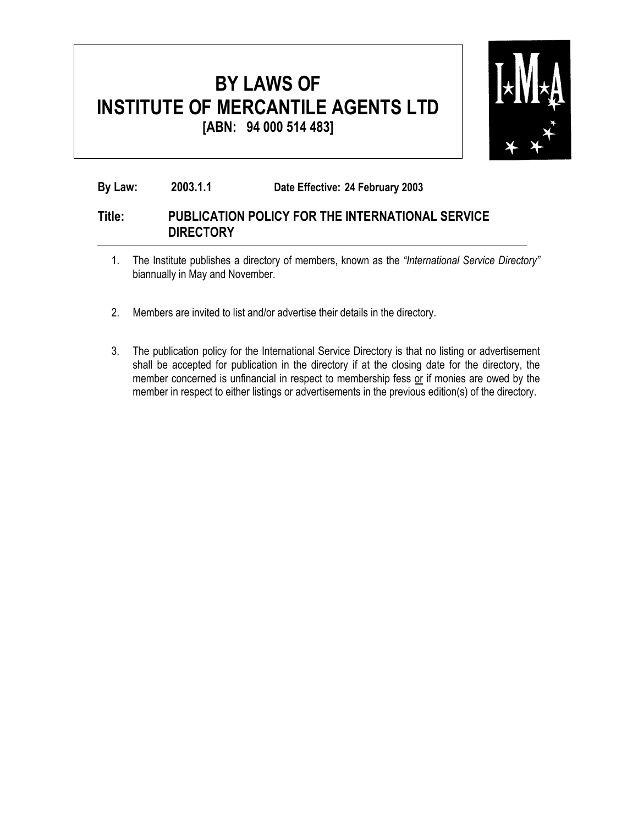

#### **By Law: 2003.1.1 Date Effective: 24 February 2003**

#### **Title: PUBLICATION POLICY FOR THE INTERNATIONAL SERVICE DIRECTORY**

- 1. The Institute publishes a directory of members, known as the *"International Service Directory"* biannually in May and November.
- 2. Members are invited to list and/or advertise their details in the directory.
- 3. The publication policy for the International Service Directory is that no listing or advertisement shall be accepted for publication in the directory if at the closing date for the directory, the member concerned is unfinancial in respect to membership fess or if monies are owed by the member in respect to either listings or advertisements in the previous edition(s) of the directory.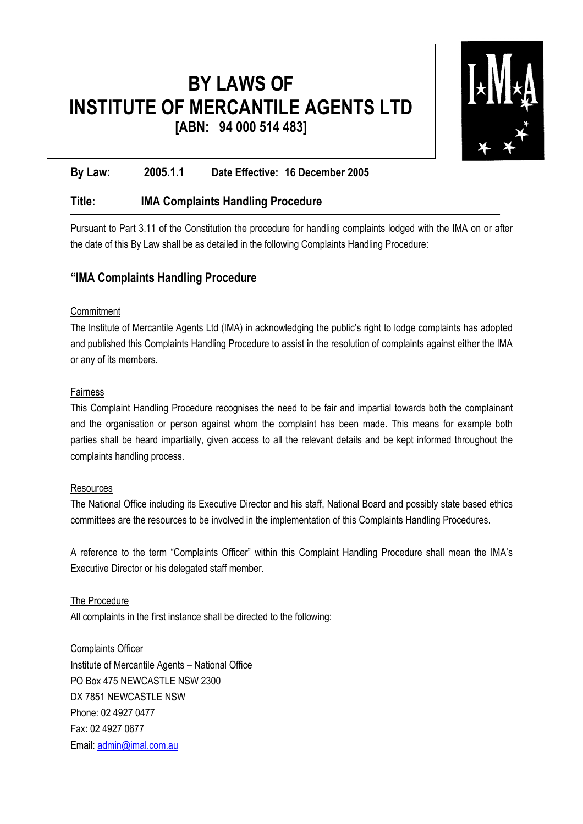

#### **By Law: 2005.1.1 Date Effective: 16 December 2005**

#### **Title: IMA Complaints Handling Procedure**

Pursuant to Part 3.11 of the Constitution the procedure for handling complaints lodged with the IMA on or after the date of this By Law shall be as detailed in the following Complaints Handling Procedure:

#### **"IMA Complaints Handling Procedure**

#### **Commitment**

The Institute of Mercantile Agents Ltd (IMA) in acknowledging the public's right to lodge complaints has adopted and published this Complaints Handling Procedure to assist in the resolution of complaints against either the IMA or any of its members.

#### Fairness

This Complaint Handling Procedure recognises the need to be fair and impartial towards both the complainant and the organisation or person against whom the complaint has been made. This means for example both parties shall be heard impartially, given access to all the relevant details and be kept informed throughout the complaints handling process.

#### **Resources**

The National Office including its Executive Director and his staff, National Board and possibly state based ethics committees are the resources to be involved in the implementation of this Complaints Handling Procedures.

A reference to the term "Complaints Officer" within this Complaint Handling Procedure shall mean the IMA's Executive Director or his delegated staff member.

#### The Procedure

All complaints in the first instance shall be directed to the following:

Complaints Officer Institute of Mercantile Agents – National Office PO Box 475 NEWCASTLE NSW 2300 DX 7851 NEWCASTLE NSW Phone: 02 4927 0477 Fax: 02 4927 0677 Email: admin@imal.com.au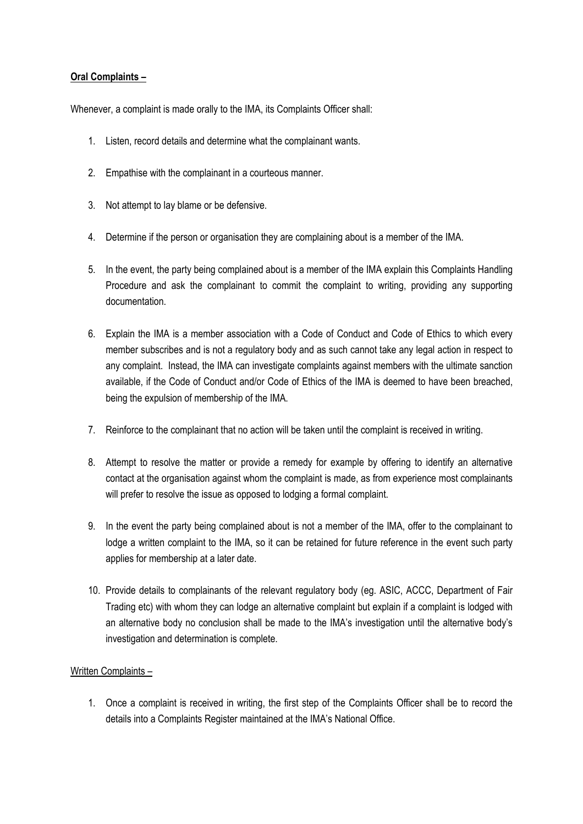#### **Oral Complaints –**

Whenever, a complaint is made orally to the IMA, its Complaints Officer shall:

- 1. Listen, record details and determine what the complainant wants.
- 2. Empathise with the complainant in a courteous manner.
- 3. Not attempt to lay blame or be defensive.
- 4. Determine if the person or organisation they are complaining about is a member of the IMA.
- 5. In the event, the party being complained about is a member of the IMA explain this Complaints Handling Procedure and ask the complainant to commit the complaint to writing, providing any supporting documentation.
- 6. Explain the IMA is a member association with a Code of Conduct and Code of Ethics to which every member subscribes and is not a regulatory body and as such cannot take any legal action in respect to any complaint. Instead, the IMA can investigate complaints against members with the ultimate sanction available, if the Code of Conduct and/or Code of Ethics of the IMA is deemed to have been breached, being the expulsion of membership of the IMA.
- 7. Reinforce to the complainant that no action will be taken until the complaint is received in writing.
- 8. Attempt to resolve the matter or provide a remedy for example by offering to identify an alternative contact at the organisation against whom the complaint is made, as from experience most complainants will prefer to resolve the issue as opposed to lodging a formal complaint.
- 9. In the event the party being complained about is not a member of the IMA, offer to the complainant to lodge a written complaint to the IMA, so it can be retained for future reference in the event such party applies for membership at a later date.
- 10. Provide details to complainants of the relevant regulatory body (eg. ASIC, ACCC, Department of Fair Trading etc) with whom they can lodge an alternative complaint but explain if a complaint is lodged with an alternative body no conclusion shall be made to the IMA's investigation until the alternative body's investigation and determination is complete.

#### Written Complaints –

1. Once a complaint is received in writing, the first step of the Complaints Officer shall be to record the details into a Complaints Register maintained at the IMA's National Office.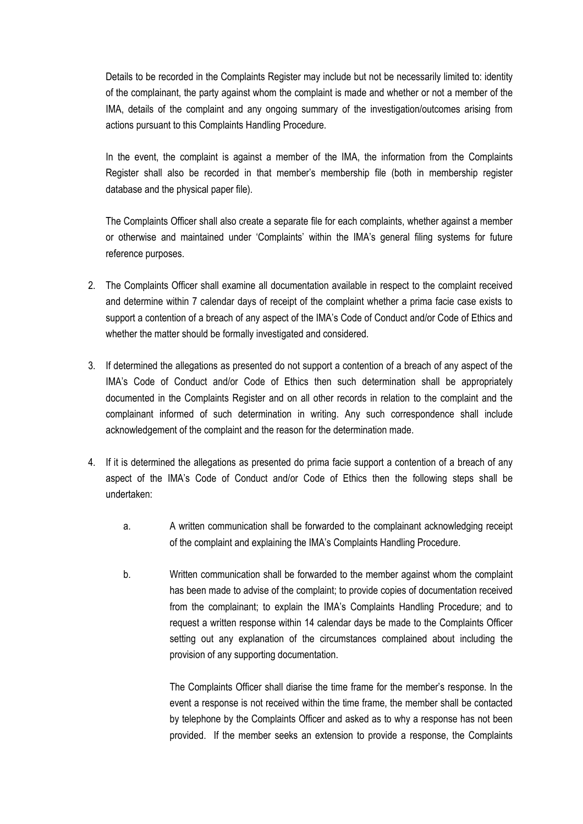Details to be recorded in the Complaints Register may include but not be necessarily limited to: identity of the complainant, the party against whom the complaint is made and whether or not a member of the IMA, details of the complaint and any ongoing summary of the investigation/outcomes arising from actions pursuant to this Complaints Handling Procedure.

In the event, the complaint is against a member of the IMA, the information from the Complaints Register shall also be recorded in that member's membership file (both in membership register database and the physical paper file).

The Complaints Officer shall also create a separate file for each complaints, whether against a member or otherwise and maintained under 'Complaints' within the IMA's general filing systems for future reference purposes.

- 2. The Complaints Officer shall examine all documentation available in respect to the complaint received and determine within 7 calendar days of receipt of the complaint whether a prima facie case exists to support a contention of a breach of any aspect of the IMA's Code of Conduct and/or Code of Ethics and whether the matter should be formally investigated and considered.
- 3. If determined the allegations as presented do not support a contention of a breach of any aspect of the IMA's Code of Conduct and/or Code of Ethics then such determination shall be appropriately documented in the Complaints Register and on all other records in relation to the complaint and the complainant informed of such determination in writing. Any such correspondence shall include acknowledgement of the complaint and the reason for the determination made.
- 4. If it is determined the allegations as presented do prima facie support a contention of a breach of any aspect of the IMA's Code of Conduct and/or Code of Ethics then the following steps shall be undertaken:
	- a. A written communication shall be forwarded to the complainant acknowledging receipt of the complaint and explaining the IMA's Complaints Handling Procedure.
	- b. Written communication shall be forwarded to the member against whom the complaint has been made to advise of the complaint; to provide copies of documentation received from the complainant; to explain the IMA's Complaints Handling Procedure; and to request a written response within 14 calendar days be made to the Complaints Officer setting out any explanation of the circumstances complained about including the provision of any supporting documentation.

The Complaints Officer shall diarise the time frame for the member's response. In the event a response is not received within the time frame, the member shall be contacted by telephone by the Complaints Officer and asked as to why a response has not been provided. If the member seeks an extension to provide a response, the Complaints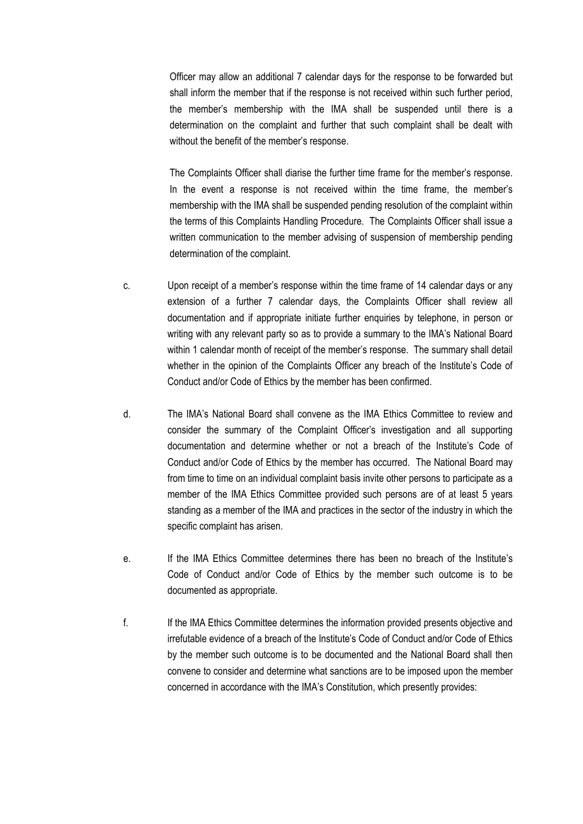Officer may allow an additional 7 calendar days for the response to be forwarded but shall inform the member that if the response is not received within such further period, the member's membership with the IMA shall be suspended until there is a determination on the complaint and further that such complaint shall be dealt with without the benefit of the member's response.

The Complaints Officer shall diarise the further time frame for the member's response. In the event a response is not received within the time frame, the member's membership with the IMA shall be suspended pending resolution of the complaint within the terms of this Complaints Handling Procedure. The Complaints Officer shall issue a written communication to the member advising of suspension of membership pending determination of the complaint.

- c. Upon receipt of a member's response within the time frame of 14 calendar days or any extension of a further 7 calendar days, the Complaints Officer shall review all documentation and if appropriate initiate further enquiries by telephone, in person or writing with any relevant party so as to provide a summary to the IMA's National Board within 1 calendar month of receipt of the member's response. The summary shall detail whether in the opinion of the Complaints Officer any breach of the Institute's Code of Conduct and/or Code of Ethics by the member has been confirmed.
- d. The IMA's National Board shall convene as the IMA Ethics Committee to review and consider the summary of the Complaint Officer's investigation and all supporting documentation and determine whether or not a breach of the Institute's Code of Conduct and/or Code of Ethics by the member has occurred. The National Board may from time to time on an individual complaint basis invite other persons to participate as a member of the IMA Ethics Committee provided such persons are of at least 5 years standing as a member of the IMA and practices in the sector of the industry in which the specific complaint has arisen.
- e. If the IMA Ethics Committee determines there has been no breach of the Institute's Code of Conduct and/or Code of Ethics by the member such outcome is to be documented as appropriate.
- f. If the IMA Ethics Committee determines the information provided presents objective and irrefutable evidence of a breach of the Institute's Code of Conduct and/or Code of Ethics by the member such outcome is to be documented and the National Board shall then convene to consider and determine what sanctions are to be imposed upon the member concerned in accordance with the IMA's Constitution, which presently provides: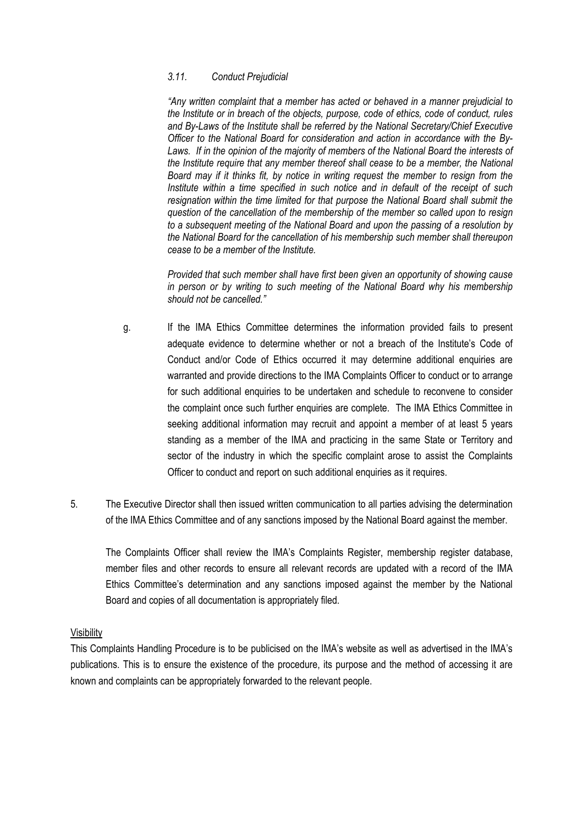#### *3.11. Conduct Prejudicial*

 *"Any written complaint that a member has acted or behaved in a manner prejudicial to the Institute or in breach of the objects, purpose, code of ethics, code of conduct, rules and By-Laws of the Institute shall be referred by the National Secretary/Chief Executive Officer to the National Board for consideration and action in accordance with the By-Laws. If in the opinion of the majority of members of the National Board the interests of the Institute require that any member thereof shall cease to be a member, the National Board may if it thinks fit, by notice in writing request the member to resign from the Institute within a time specified in such notice and in default of the receipt of such resignation within the time limited for that purpose the National Board shall submit the question of the cancellation of the membership of the member so called upon to resign to a subsequent meeting of the National Board and upon the passing of a resolution by the National Board for the cancellation of his membership such member shall thereupon cease to be a member of the Institute.* 

 *Provided that such member shall have first been given an opportunity of showing cause in person or by writing to such meeting of the National Board why his membership should not be cancelled."*

- g. If the IMA Ethics Committee determines the information provided fails to present adequate evidence to determine whether or not a breach of the Institute's Code of Conduct and/or Code of Ethics occurred it may determine additional enquiries are warranted and provide directions to the IMA Complaints Officer to conduct or to arrange for such additional enquiries to be undertaken and schedule to reconvene to consider the complaint once such further enquiries are complete. The IMA Ethics Committee in seeking additional information may recruit and appoint a member of at least 5 years standing as a member of the IMA and practicing in the same State or Territory and sector of the industry in which the specific complaint arose to assist the Complaints Officer to conduct and report on such additional enquiries as it requires.
- 5. The Executive Director shall then issued written communication to all parties advising the determination of the IMA Ethics Committee and of any sanctions imposed by the National Board against the member.

The Complaints Officer shall review the IMA's Complaints Register, membership register database, member files and other records to ensure all relevant records are updated with a record of the IMA Ethics Committee's determination and any sanctions imposed against the member by the National Board and copies of all documentation is appropriately filed.

#### **Visibility**

This Complaints Handling Procedure is to be publicised on the IMA's website as well as advertised in the IMA's publications. This is to ensure the existence of the procedure, its purpose and the method of accessing it are known and complaints can be appropriately forwarded to the relevant people.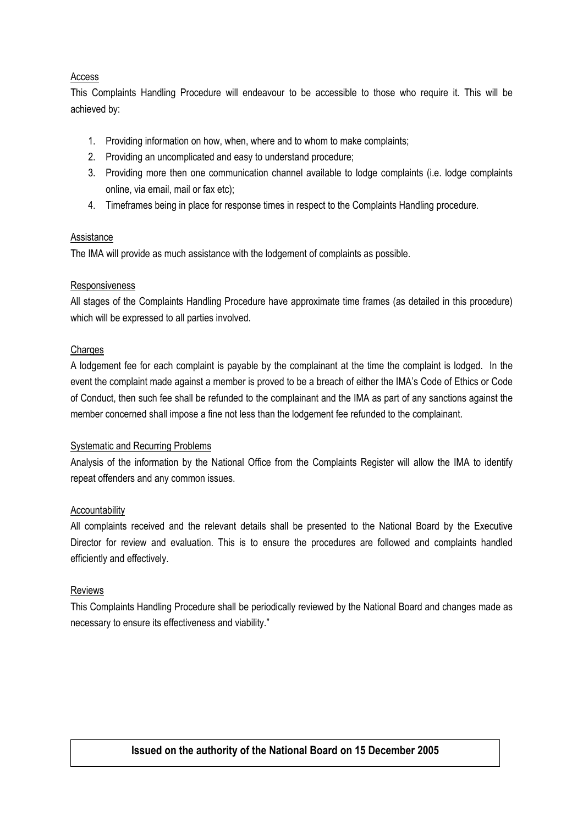#### Access

This Complaints Handling Procedure will endeavour to be accessible to those who require it. This will be achieved by:

- 1. Providing information on how, when, where and to whom to make complaints;
- 2. Providing an uncomplicated and easy to understand procedure;
- 3. Providing more then one communication channel available to lodge complaints (i.e. lodge complaints online, via email, mail or fax etc);
- 4. Timeframes being in place for response times in respect to the Complaints Handling procedure.

#### **Assistance**

The IMA will provide as much assistance with the lodgement of complaints as possible.

#### Responsiveness

All stages of the Complaints Handling Procedure have approximate time frames (as detailed in this procedure) which will be expressed to all parties involved.

#### **Charges**

A lodgement fee for each complaint is payable by the complainant at the time the complaint is lodged. In the event the complaint made against a member is proved to be a breach of either the IMA's Code of Ethics or Code of Conduct, then such fee shall be refunded to the complainant and the IMA as part of any sanctions against the member concerned shall impose a fine not less than the lodgement fee refunded to the complainant.

#### Systematic and Recurring Problems

Analysis of the information by the National Office from the Complaints Register will allow the IMA to identify repeat offenders and any common issues.

#### **Accountability**

All complaints received and the relevant details shall be presented to the National Board by the Executive Director for review and evaluation. This is to ensure the procedures are followed and complaints handled efficiently and effectively.

#### Reviews

This Complaints Handling Procedure shall be periodically reviewed by the National Board and changes made as necessary to ensure its effectiveness and viability."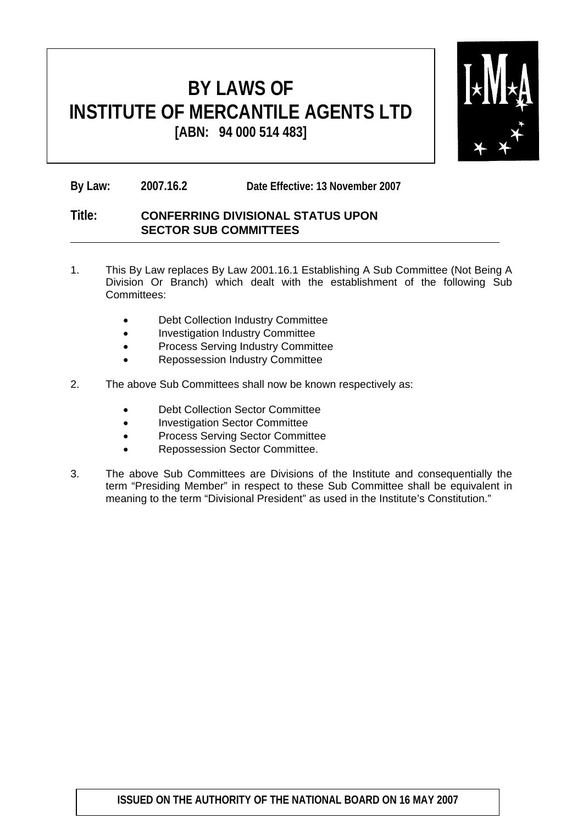

**By Law: 2007.16.2 Date Effective: 13 November 2007**

#### **Title: CONFERRING DIVISIONAL STATUS UPON SECTOR SUB COMMITTEES**

- 1. This By Law replaces By Law 2001.16.1 Establishing A Sub Committee (Not Being A Division Or Branch) which dealt with the establishment of the following Sub Committees:
	- Debt Collection Industry Committee
	- Investigation Industry Committee
	- Process Serving Industry Committee
	- Repossession Industry Committee
- 2. The above Sub Committees shall now be known respectively as:
	- Debt Collection Sector Committee
	- Investigation Sector Committee
	- Process Serving Sector Committee
	- Repossession Sector Committee.
- 3. The above Sub Committees are Divisions of the Institute and consequentially the term "Presiding Member" in respect to these Sub Committee shall be equivalent in meaning to the term "Divisional President" as used in the Institute's Constitution."

#### **ISSUED ON THE AUTHORITY OF THE NATIONAL BOARD ON 16 MAY 2007**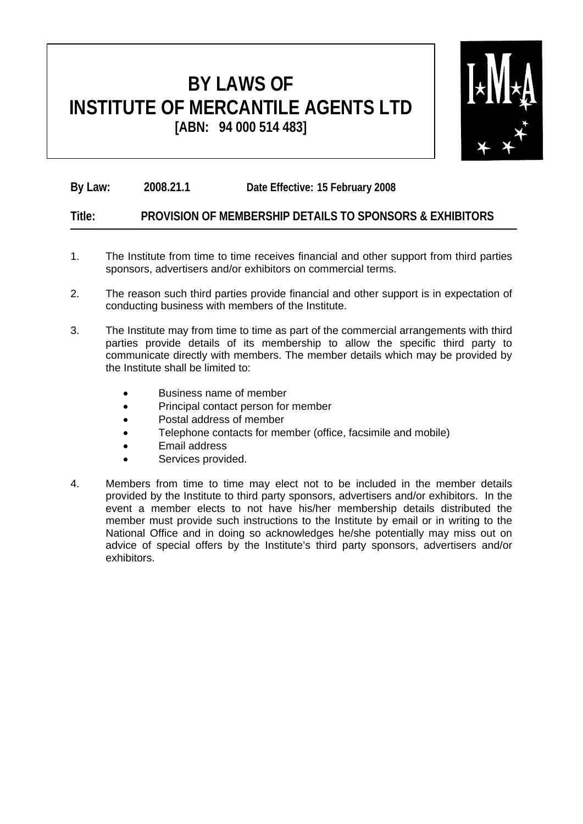

**By Law: 2008.21.1 Date Effective: 15 February 2008**

#### **Title: PROVISION OF MEMBERSHIP DETAILS TO SPONSORS & EXHIBITORS**

- 1. The Institute from time to time receives financial and other support from third parties sponsors, advertisers and/or exhibitors on commercial terms.
- 2. The reason such third parties provide financial and other support is in expectation of conducting business with members of the Institute.
- 3. The Institute may from time to time as part of the commercial arrangements with third parties provide details of its membership to allow the specific third party to communicate directly with members. The member details which may be provided by the Institute shall be limited to:
	- Business name of member
	- Principal contact person for member
	- Postal address of member
	- Telephone contacts for member (office, facsimile and mobile)
	- Email address
	- Services provided.
- 4. Members from time to time may elect not to be included in the member details provided by the Institute to third party sponsors, advertisers and/or exhibitors. In the event a member elects to not have his/her membership details distributed the member must provide such instructions to the Institute by email or in writing to the National Office and in doing so acknowledges he/she potentially may miss out on advice of special offers by the Institute's third party sponsors, advertisers and/or exhibitors.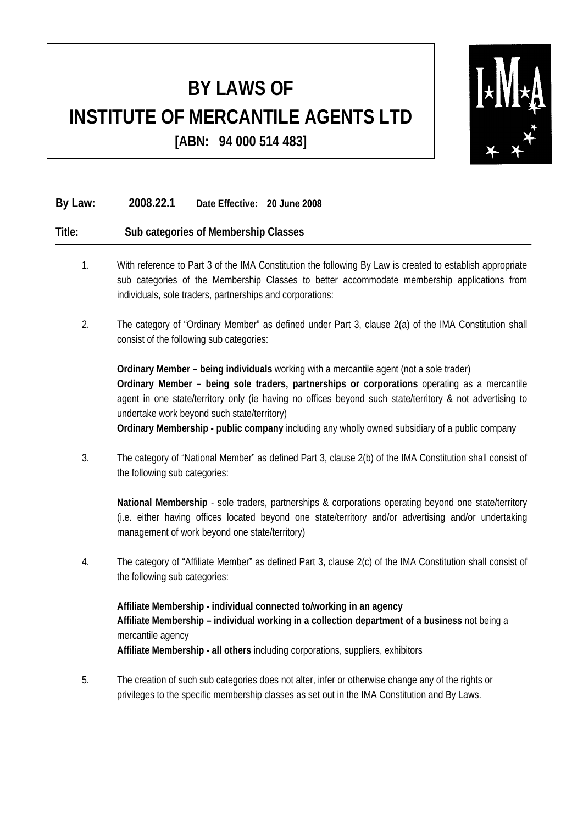

#### **By Law: 2008.22.1 Date Effective: 20 June 2008**

#### **Title: Sub categories of Membership Classes**

- 1. With reference to Part 3 of the IMA Constitution the following By Law is created to establish appropriate sub categories of the Membership Classes to better accommodate membership applications from individuals, sole traders, partnerships and corporations:
- 2. The category of "Ordinary Member" as defined under Part 3, clause 2(a) of the IMA Constitution shall consist of the following sub categories:

**Ordinary Member – being individuals** working with a mercantile agent (not a sole trader) **Ordinary Member – being sole traders, partnerships or corporations** operating as a mercantile agent in one state/territory only (ie having no offices beyond such state/territory & not advertising to undertake work beyond such state/territory) **Ordinary Membership - public company** including any wholly owned subsidiary of a public company

- 3. The category of "National Member" as defined Part 3, clause 2(b) of the IMA Constitution shall consist of
	- the following sub categories:

**National Membership** - sole traders, partnerships & corporations operating beyond one state/territory (i.e. either having offices located beyond one state/territory and/or advertising and/or undertaking management of work beyond one state/territory)

4. The category of "Affiliate Member" as defined Part 3, clause 2(c) of the IMA Constitution shall consist of the following sub categories:

**Affiliate Membership - individual connected to/working in an agency Affiliate Membership – individual working in a collection department of a business** not being a mercantile agency **Affiliate Membership - all others** including corporations, suppliers, exhibitors

5. The creation of such sub categories does not alter, infer or otherwise change any of the rights or privileges to the specific membership classes as set out in the IMA Constitution and By Laws.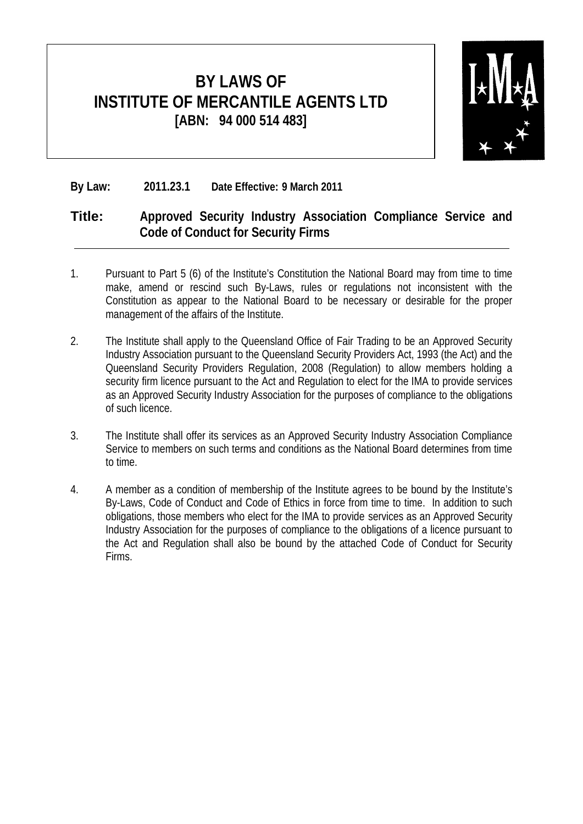

#### **By Law: 2011.23.1 Date Effective: 9 March 2011**

#### **Title: Approved Security Industry Association Compliance Service and Code of Conduct for Security Firms**

- 1. Pursuant to Part 5 (6) of the Institute's Constitution the National Board may from time to time make, amend or rescind such By-Laws, rules or regulations not inconsistent with the Constitution as appear to the National Board to be necessary or desirable for the proper management of the affairs of the Institute.
- 2. The Institute shall apply to the Queensland Office of Fair Trading to be an Approved Security Industry Association pursuant to the Queensland Security Providers Act, 1993 (the Act) and the Queensland Security Providers Regulation, 2008 (Regulation) to allow members holding a security firm licence pursuant to the Act and Regulation to elect for the IMA to provide services as an Approved Security Industry Association for the purposes of compliance to the obligations of such licence.
- 3. The Institute shall offer its services as an Approved Security Industry Association Compliance Service to members on such terms and conditions as the National Board determines from time to time.
- 4. A member as a condition of membership of the Institute agrees to be bound by the Institute's By-Laws, Code of Conduct and Code of Ethics in force from time to time. In addition to such obligations, those members who elect for the IMA to provide services as an Approved Security Industry Association for the purposes of compliance to the obligations of a licence pursuant to the Act and Regulation shall also be bound by the attached Code of Conduct for Security Firms.